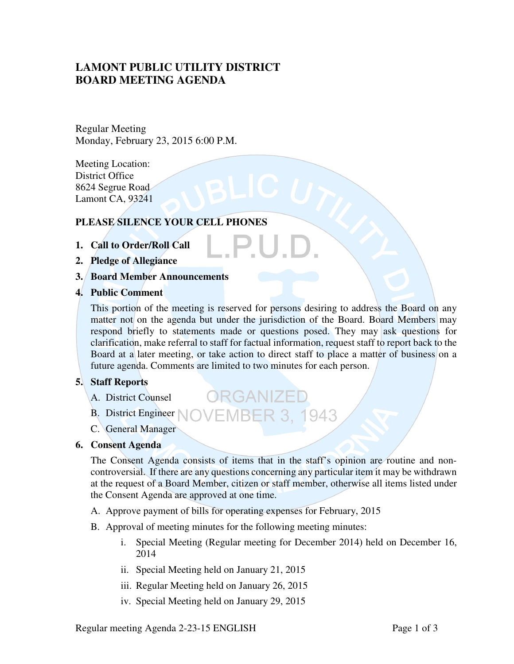# **LAMONT PUBLIC UTILITY DISTRICT BOARD MEETING AGENDA**

Regular Meeting Monday, February 23, 2015 6:00 P.M.

Meeting Location: District Office 8624 Segrue Road Lamont CA, 93241

# **PLEASE SILENCE YOUR CELL PHONES**

- **1. Call to Order/Roll Call**
- **2. Pledge of Allegiance**
- **3. Board Member Announcements**
- **4. Public Comment**

This portion of the meeting is reserved for persons desiring to address the Board on any matter not on the agenda but under the jurisdiction of the Board. Board Members may respond briefly to statements made or questions posed. They may ask questions for clarification, make referral to staff for factual information, request staff to report back to the Board at a later meeting, or take action to direct staff to place a matter of business on a future agenda. Comments are limited to two minutes for each person.

ORGANIZEI

# **5. Staff Reports**

- A. District Counsel
- B. District Engineer NOVEMBER 3. 1943
- C. General Manager

#### **6. Consent Agenda**

The Consent Agenda consists of items that in the staff's opinion are routine and noncontroversial. If there are any questions concerning any particular item it may be withdrawn at the request of a Board Member, citizen or staff member, otherwise all items listed under the Consent Agenda are approved at one time.

- A. Approve payment of bills for operating expenses for February, 2015
- B. Approval of meeting minutes for the following meeting minutes:
	- i. Special Meeting (Regular meeting for December 2014) held on December 16, 2014
	- ii. Special Meeting held on January 21, 2015
	- iii. Regular Meeting held on January 26, 2015
	- iv. Special Meeting held on January 29, 2015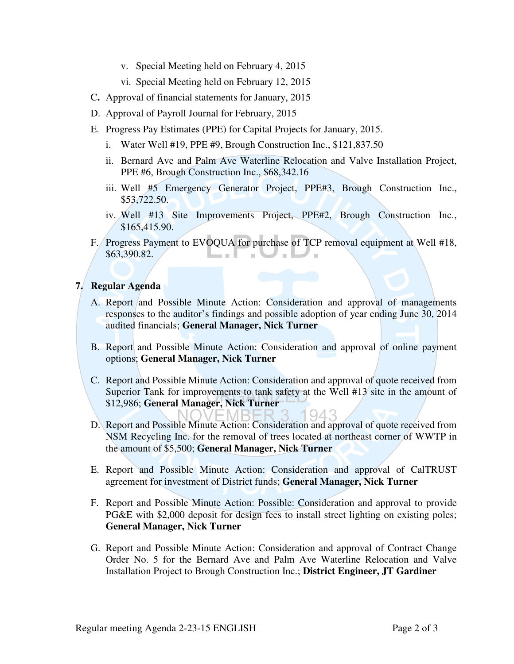- v. Special Meeting held on February 4, 2015
- vi. Special Meeting held on February 12, 2015
- C**.** Approval of financial statements for January, 2015
- D. Approval of Payroll Journal for February, 2015
- E. Progress Pay Estimates (PPE) for Capital Projects for January, 2015.
	- i. Water Well #19, PPE #9, Brough Construction Inc., \$121,837.50
	- ii. Bernard Ave and Palm Ave Waterline Relocation and Valve Installation Project, PPE #6, Brough Construction Inc., \$68,342.16
	- iii. Well #5 Emergency Generator Project, PPE#3, Brough Construction Inc., \$53,722.50.
	- iv. Well #13 Site Improvements Project, PPE#2, Brough Construction Inc., \$165,415.90.
- F. Progress Payment to EVOQUA for purchase of TCP removal equipment at Well #18, \$63,390.82.  $\blacksquare$

## **7. Regular Agenda**

- A. Report and Possible Minute Action: Consideration and approval of managements responses to the auditor's findings and possible adoption of year ending June 30, 2014 audited financials; **General Manager, Nick Turner**
- B. Report and Possible Minute Action: Consideration and approval of online payment options; **General Manager, Nick Turner**
- C. Report and Possible Minute Action: Consideration and approval of quote received from Superior Tank for improvements to tank safety at the Well #13 site in the amount of \$12,986; **General Manager, Nick Turner**   $Q_4$
- D. Report and Possible Minute Action: Consideration and approval of quote received from NSM Recycling Inc. for the removal of trees located at northeast corner of WWTP in the amount of \$5,500; **General Manager, Nick Turner**
- E. Report and Possible Minute Action: Consideration and approval of CalTRUST agreement for investment of District funds; **General Manager, Nick Turner**
- F. Report and Possible Minute Action: Possible: Consideration and approval to provide PG&E with \$2,000 deposit for design fees to install street lighting on existing poles; **General Manager, Nick Turner**
- G. Report and Possible Minute Action: Consideration and approval of Contract Change Order No. 5 for the Bernard Ave and Palm Ave Waterline Relocation and Valve Installation Project to Brough Construction Inc.; **District Engineer, JT Gardiner**